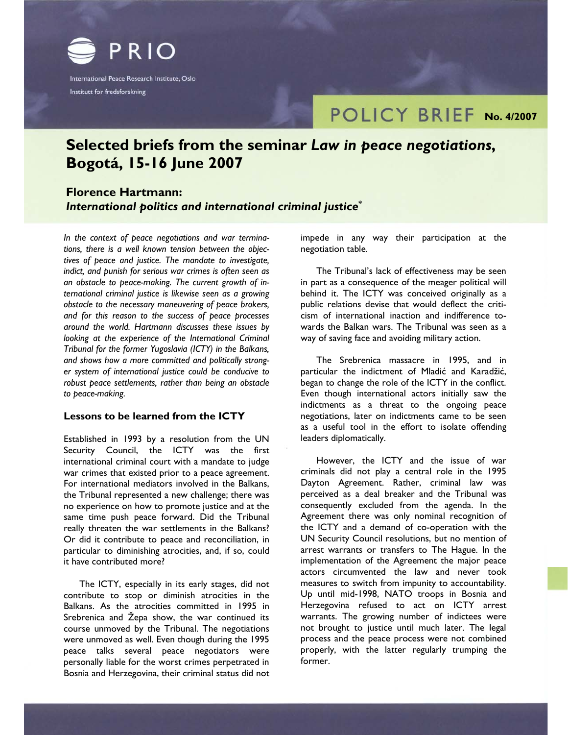

Institutt for fredsforskning

## **POLICY BRIEF No. 4/2007**

## **Selected briefs from the seminar** *Law in peace negotiations***, Bogotá, 15-16 June 2007**

**Florence Hartmann:**  *International politics and international criminal justice***\***

*In the context of peace negotiations and war terminations, there is a well known tension between the objectives of peace and justice. The mandate to investigate, indict, and punish for serious war crimes is often seen as an obstacle to peace-making. The current growth of international criminal justice is likewise seen as a growing obstacle to the necessary maneuvering of peace brokers, and for this reason to the success of peace processes around the world. Hartmann discusses these issues by looking at the experience of the International Criminal Tribunal for the former Yugoslavia (ICTY) in the Balkans, and shows how a more committed and politically stronger system of international justice could be conducive to robust peace settlements, rather than being an obstacle to peace-making.* 

## **Lessons to be learned from the ICTY**

Established in 1993 by a resolution from the UN Security Council, the ICTY was the first international criminal court with a mandate to judge war crimes that existed prior to a peace agreement. For international mediators involved in the Balkans, the Tribunal represented a new challenge; there was no experience on how to promote justice and at the same time push peace forward. Did the Tribunal really threaten the war settlements in the Balkans? Or did it contribute to peace and reconciliation, in particular to diminishing atrocities, and, if so, could it have contributed more?

The ICTY, especially in its early stages, did not contribute to stop or diminish atrocities in the Balkans. As the atrocities committed in 1995 in Srebrenica and Žepa show, the war continued its course unmoved by the Tribunal. The negotiations were unmoved as well. Even though during the 1995 peace talks several peace negotiators were personally liable for the worst crimes perpetrated in Bosnia and Herzegovina, their criminal status did not

impede in any way their participation at the negotiation table.

The Tribunal's lack of effectiveness may be seen in part as a consequence of the meager political will behind it. The ICTY was conceived originally as a public relations devise that would deflect the criticism of international inaction and indifference towards the Balkan wars. The Tribunal was seen as a way of saving face and avoiding military action.

The Srebrenica massacre in 1995, and in particular the indictment of Mladić and Karadžić, began to change the role of the ICTY in the conflict. Even though international actors initially saw the indictments as a threat to the ongoing peace negotiations, later on indictments came to be seen as a useful tool in the effort to isolate offending leaders diplomatically.

However, the ICTY and the issue of war criminals did not play a central role in the 1995 Dayton Agreement. Rather, criminal law was perceived as a deal breaker and the Tribunal was consequently excluded from the agenda. In the Agreement there was only nominal recognition of the ICTY and a demand of co-operation with the UN Security Council resolutions, but no mention of arrest warrants or transfers to The Hague. In the implementation of the Agreement the major peace actors circumvented the law and never took measures to switch from impunity to accountability. Up until mid-1998, NATO troops in Bosnia and Herzegovina refused to act on ICTY arrest warrants. The growing number of indictees were not brought to justice until much later. The legal process and the peace process were not combined properly, with the latter regularly trumping the former.